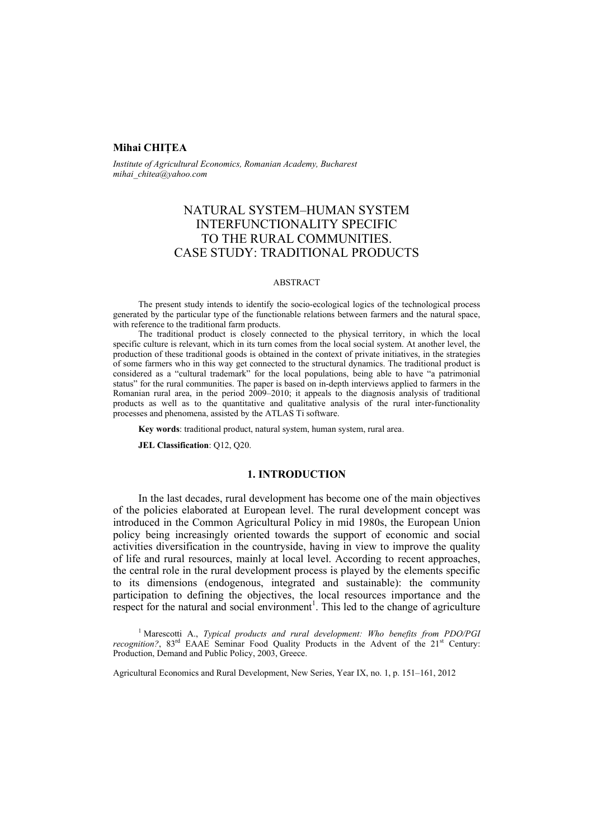#### **Mihai CHIŢEA**

*Institute of Agricultural Economics, Romanian Academy, Bucharest mihai\_chitea@yahoo.com*

# NATURAL SYSTEM–HUMAN SYSTEM INTERFUNCTIONALITY SPECIFIC TO THE RURAL COMMUNITIES. CASE STUDY: TRADITIONAL PRODUCTS

#### ABSTRACT

The present study intends to identify the socio-ecological logics of the technological process generated by the particular type of the functionable relations between farmers and the natural space, with reference to the traditional farm products.

The traditional product is closely connected to the physical territory, in which the local specific culture is relevant, which in its turn comes from the local social system. At another level, the production of these traditional goods is obtained in the context of private initiatives, in the strategies of some farmers who in this way get connected to the structural dynamics. The traditional product is considered as a "cultural trademark" for the local populations, being able to have "a patrimonial" status" for the rural communities. The paper is based on in-depth interviews applied to farmers in the Romanian rural area, in the period 2009–2010; it appeals to the diagnosis analysis of traditional products as well as to the quantitative and qualitative analysis of the rural inter-functionality processes and phenomena, assisted by the ATLAS Ti software.

**Key words**: traditional product, natural system, human system, rural area.

**JEL Classification**: Q12, Q20.

### **1. INTRODUCTION**

In the last decades, rural development has become one of the main objectives of the policies elaborated at European level. The rural development concept was introduced in the Common Agricultural Policy in mid 1980s, the European Union policy being increasingly oriented towards the support of economic and social activities diversification in the countryside, having in view to improve the quality of life and rural resources, mainly at local level. According to recent approaches, the central role in the rural development process is played by the elements specific to its dimensions (endogenous, integrated and sustainable): the community participation to defining the objectives, the local resources importance and the respect for the natural and social environment<sup>1</sup>. This led to the change of agriculture

<sup>1</sup> Marescotti A., *Typical products and rural development: Who benefits from PDO/PGI recognition?*, 83<sup>rd</sup> EAAE Seminar Food Quality Products in the Advent of the 21<sup>st</sup> Century: Production, Demand and Public Policy, 2003, Greece.

Agricultural Economics and Rural Development, New Series, Year IX, no. 1, p. 151–161, 2012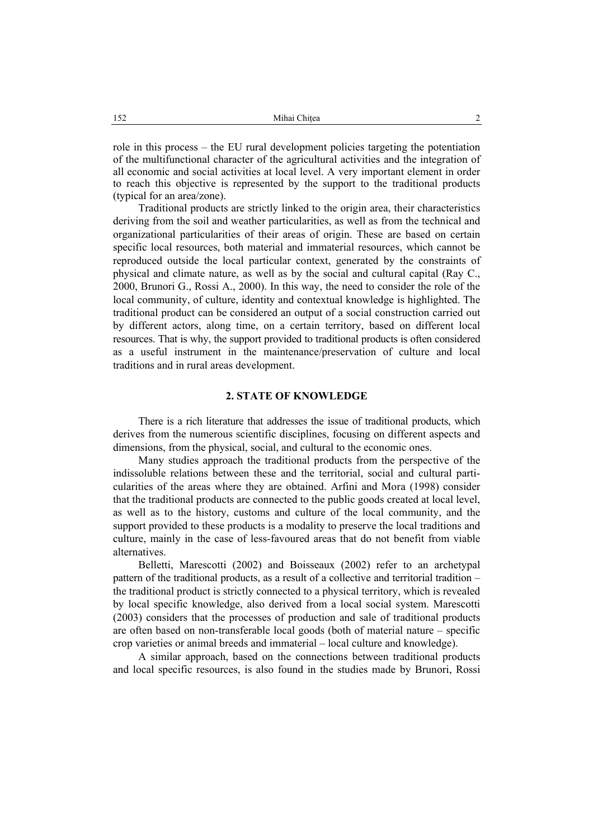role in this process – the EU rural development policies targeting the potentiation of the multifunctional character of the agricultural activities and the integration of all economic and social activities at local level. A very important element in order to reach this objective is represented by the support to the traditional products (typical for an area/zone).

Traditional products are strictly linked to the origin area, their characteristics deriving from the soil and weather particularities, as well as from the technical and organizational particularities of their areas of origin. These are based on certain specific local resources, both material and immaterial resources, which cannot be reproduced outside the local particular context, generated by the constraints of physical and climate nature, as well as by the social and cultural capital (Ray C., 2000, Brunori G., Rossi A., 2000). In this way, the need to consider the role of the local community, of culture, identity and contextual knowledge is highlighted. The traditional product can be considered an output of a social construction carried out by different actors, along time, on a certain territory, based on different local resources. That is why, the support provided to traditional products is often considered as a useful instrument in the maintenance/preservation of culture and local traditions and in rural areas development.

# **2. STATE OF KNOWLEDGE**

There is a rich literature that addresses the issue of traditional products, which derives from the numerous scientific disciplines, focusing on different aspects and dimensions, from the physical, social, and cultural to the economic ones.

Many studies approach the traditional products from the perspective of the indissoluble relations between these and the territorial, social and cultural particularities of the areas where they are obtained. Arfini and Mora (1998) consider that the traditional products are connected to the public goods created at local level, as well as to the history, customs and culture of the local community, and the support provided to these products is a modality to preserve the local traditions and culture, mainly in the case of less-favoured areas that do not benefit from viable alternatives.

Belletti, Marescotti (2002) and Boisseaux (2002) refer to an archetypal pattern of the traditional products, as a result of a collective and territorial tradition – the traditional product is strictly connected to a physical territory, which is revealed by local specific knowledge, also derived from a local social system. Marescotti (2003) considers that the processes of production and sale of traditional products are often based on non-transferable local goods (both of material nature – specific crop varieties or animal breeds and immaterial – local culture and knowledge).

A similar approach, based on the connections between traditional products and local specific resources, is also found in the studies made by Brunori, Rossi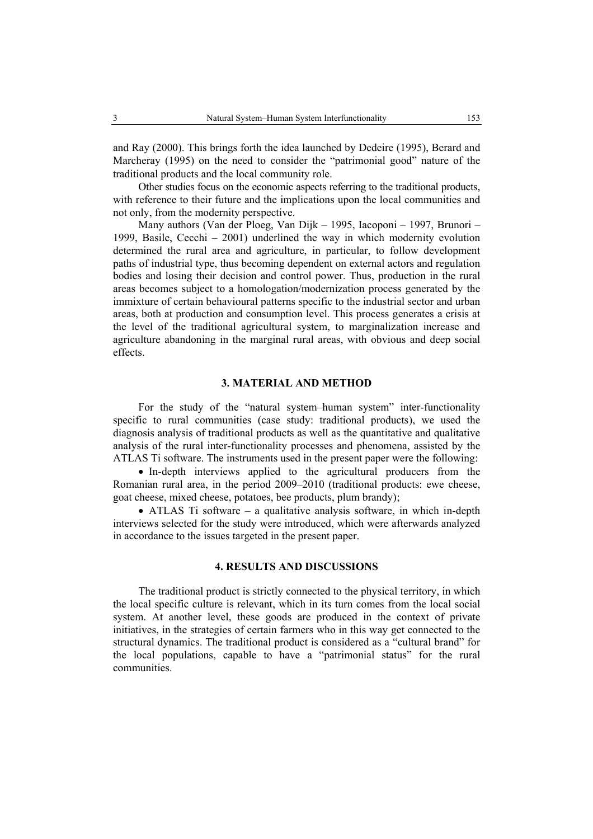and Ray (2000). This brings forth the idea launched by Dedeire (1995), Berard and Marcheray (1995) on the need to consider the "patrimonial good" nature of the traditional products and the local community role.

Other studies focus on the economic aspects referring to the traditional products, with reference to their future and the implications upon the local communities and not only, from the modernity perspective.

Many authors (Van der Ploeg, Van Dijk – 1995, Iacoponi – 1997, Brunori – 1999, Basile, Cecchi – 2001) underlined the way in which modernity evolution determined the rural area and agriculture, in particular, to follow development paths of industrial type, thus becoming dependent on external actors and regulation bodies and losing their decision and control power. Thus, production in the rural areas becomes subject to a homologation/modernization process generated by the immixture of certain behavioural patterns specific to the industrial sector and urban areas, both at production and consumption level. This process generates a crisis at the level of the traditional agricultural system, to marginalization increase and agriculture abandoning in the marginal rural areas, with obvious and deep social effects.

#### **3. MATERIAL AND METHOD**

For the study of the "natural system–human system" inter-functionality specific to rural communities (case study: traditional products), we used the diagnosis analysis of traditional products as well as the quantitative and qualitative analysis of the rural inter-functionality processes and phenomena, assisted by the ATLAS Ti software. The instruments used in the present paper were the following:

• In-depth interviews applied to the agricultural producers from the Romanian rural area, in the period 2009–2010 (traditional products: ewe cheese, goat cheese, mixed cheese, potatoes, bee products, plum brandy);

• ATLAS Ti software – a qualitative analysis software, in which in-depth interviews selected for the study were introduced, which were afterwards analyzed in accordance to the issues targeted in the present paper.

#### **4. RESULTS AND DISCUSSIONS**

The traditional product is strictly connected to the physical territory, in which the local specific culture is relevant, which in its turn comes from the local social system. At another level, these goods are produced in the context of private initiatives, in the strategies of certain farmers who in this way get connected to the structural dynamics. The traditional product is considered as a "cultural brand" for the local populations, capable to have a "patrimonial status" for the rural communities.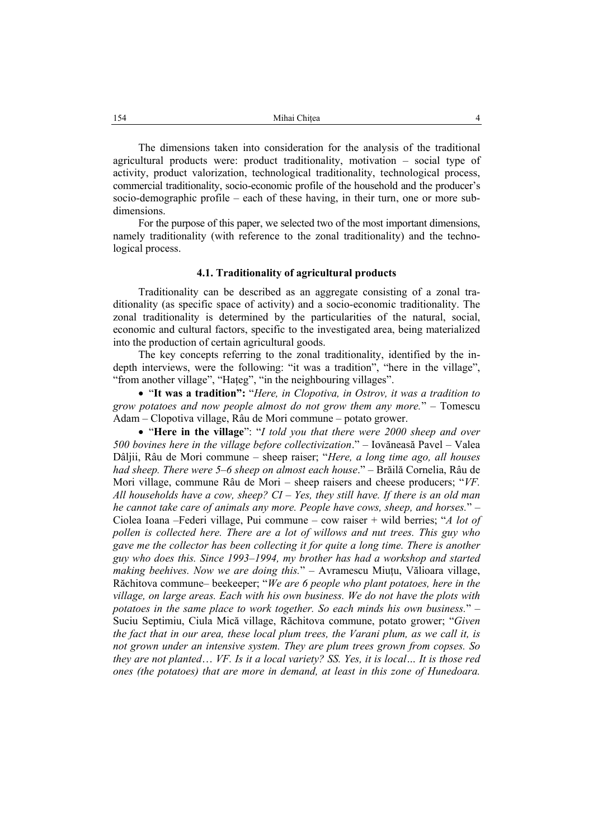The dimensions taken into consideration for the analysis of the traditional agricultural products were: product traditionality, motivation – social type of activity, product valorization, technological traditionality, technological process, commercial traditionality, socio-economic profile of the household and the producer's socio-demographic profile – each of these having, in their turn, one or more subdimensions.

For the purpose of this paper, we selected two of the most important dimensions, namely traditionality (with reference to the zonal traditionality) and the technological process.

#### **4.1. Traditionality of agricultural products**

Traditionality can be described as an aggregate consisting of a zonal traditionality (as specific space of activity) and a socio-economic traditionality. The zonal traditionality is determined by the particularities of the natural, social, economic and cultural factors, specific to the investigated area, being materialized into the production of certain agricultural goods.

The key concepts referring to the zonal traditionality, identified by the indepth interviews, were the following: "it was a tradition", "here in the village", "from another village", "Haţeg", "in the neighbouring villages".

• "**It was a tradition":** "*Here, in Clopotiva, in Ostrov, it was a tradition to grow potatoes and now people almost do not grow them any more.*" – Tomescu Adam – Clopotiva village, Râu de Mori commune – potato grower.

• "**Here in the village**": "*I told you that there were 2000 sheep and over 500 bovines here in the village before collectivization*." – Iovăneasă Pavel – Valea Dâljii, Râu de Mori commune – sheep raiser; "*Here, a long time ago, all houses had sheep. There were 5–6 sheep on almost each house*." – Brăilă Cornelia, Râu de Mori village, commune Râu de Mori – sheep raisers and cheese producers; "*VF. All households have a cow, sheep? CI – Yes, they still have. If there is an old man he cannot take care of animals any more. People have cows, sheep, and horses.*" – Ciolea Ioana –Federi village, Pui commune – cow raiser + wild berries; "*A lot of pollen is collected here. There are a lot of willows and nut trees. This guy who gave me the collector has been collecting it for quite a long time. There is another guy who does this. Since 1993–1994, my brother has had a workshop and started making beehives. Now we are doing this.*" – Avramescu Miuţu, Vălioara village, Răchitova commune– beekeeper; "*We are 6 people who plant potatoes, here in the village, on large areas. Each with his own business. We do not have the plots with potatoes in the same place to work together. So each minds his own business.*" – Suciu Septimiu, Ciula Mică village, Răchitova commune, potato grower; "*Given the fact that in our area, these local plum trees, the Varani plum, as we call it, is not grown under an intensive system. They are plum trees grown from copses. So they are not planted*… *VF. Is it a local variety? SS. Yes, it is local… It is those red ones (the potatoes) that are more in demand, at least in this zone of Hunedoara.*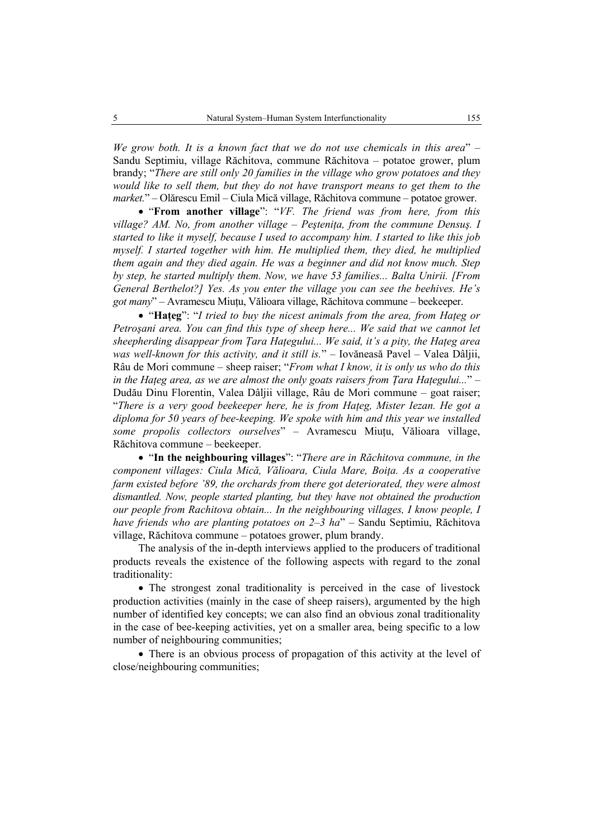*We grow both. It is a known fact that we do not use chemicals in this area*" – Sandu Septimiu, village Răchitova, commune Răchitova – potatoe grower, plum brandy; "*There are still only 20 families in the village who grow potatoes and they would like to sell them, but they do not have transport means to get them to the market.*" – Olărescu Emil – Ciula Mică village, Răchitova commune – potatoe grower.

• "**From another village**": "*VF. The friend was from here, from this village? AM. No, from another village – Peşteniţa, from the commune Densuş. I started to like it myself, because I used to accompany him. I started to like this job myself. I started together with him. He multiplied them, they died, he multiplied them again and they died again. He was a beginner and did not know much. Step by step, he started multiply them. Now, we have 53 families... Balta Unirii. [From General Berthelot?] Yes. As you enter the village you can see the beehives. He's got many*" – Avramescu Miuţu, Vălioara village, Răchitova commune – beekeeper.

• "Hateg": "I tried to buy the nicest animals from the area, from Hateg or *Petroşani area. You can find this type of sheep here... We said that we cannot let sheepherding disappear from Ţara Haţegului... We said, it's a pity, the Haţeg area was well-known for this activity, and it still is.*" – Iovăneasă Pavel – Valea Dâljii, Râu de Mori commune – sheep raiser; "*From what I know, it is only us who do this in the Hateg area, as we are almost the only goats raisers from Tara Hategului...*" – Dudău Dinu Florentin, Valea Dâljii village, Râu de Mori commune – goat raiser; "*There is a very good beekeeper here, he is from Haţeg, Mister Iezan. He got a diploma for 50 years of bee-keeping. We spoke with him and this year we installed some propolis collectors ourselves*" – Avramescu Miuţu, Vălioara village, Răchitova commune – beekeeper.

• "**In the neighbouring villages**": "*There are in Răchitova commune, in the component villages: Ciula Mică, Vălioara, Ciula Mare, Boiţa. As a cooperative farm existed before '89, the orchards from there got deteriorated, they were almost dismantled. Now, people started planting, but they have not obtained the production our people from Rachitova obtain... In the neighbouring villages, I know people, I have friends who are planting potatoes on 2–3 ha*" – Sandu Septimiu, Răchitova village, Răchitova commune – potatoes grower, plum brandy.

The analysis of the in-depth interviews applied to the producers of traditional products reveals the existence of the following aspects with regard to the zonal traditionality:

• The strongest zonal traditionality is perceived in the case of livestock production activities (mainly in the case of sheep raisers), argumented by the high number of identified key concepts; we can also find an obvious zonal traditionality in the case of bee-keeping activities, yet on a smaller area, being specific to a low number of neighbouring communities;

• There is an obvious process of propagation of this activity at the level of close/neighbouring communities;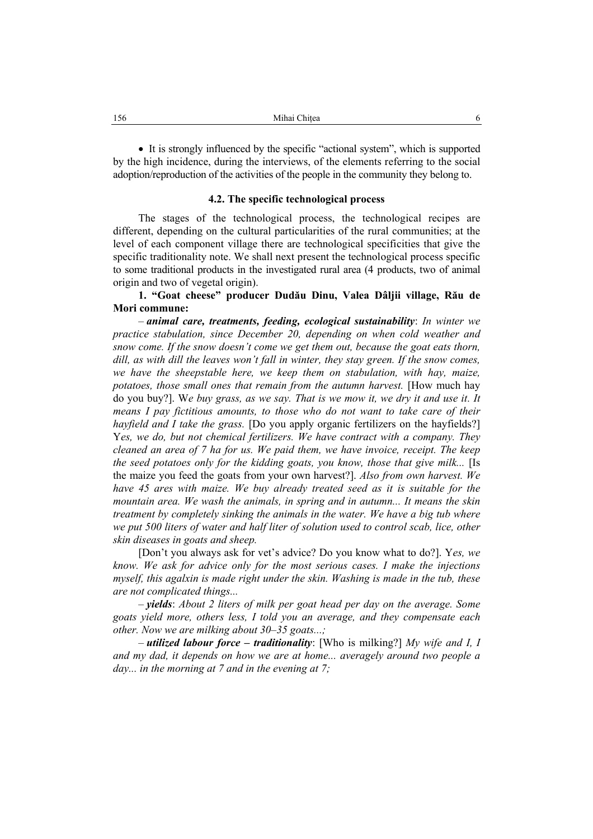• It is strongly influenced by the specific "actional system", which is supported by the high incidence, during the interviews, of the elements referring to the social adoption/reproduction of the activities of the people in the community they belong to.

#### **4.2. The specific technological process**

The stages of the technological process, the technological recipes are different, depending on the cultural particularities of the rural communities; at the level of each component village there are technological specificities that give the specific traditionality note. We shall next present the technological process specific to some traditional products in the investigated rural area (4 products, two of animal origin and two of vegetal origin).

## **1. "Goat cheese" producer Dudău Dinu, Valea Dâljii village, Rău de Mori commune:**

– *animal care, treatments, feeding, ecological sustainability*: *In winter we practice stabulation, since December 20, depending on when cold weather and snow come. If the snow doesn't come we get them out, because the goat eats thorn, dill, as with dill the leaves won't fall in winter, they stay green. If the snow comes, we have the sheepstable here, we keep them on stabulation, with hay, maize, potatoes, those small ones that remain from the autumn harvest.* [How much hay do you buy?]. W*e buy grass, as we say. That is we mow it, we dry it and use it. It means I pay fictitious amounts, to those who do not want to take care of their hayfield and I take the grass.* [Do you apply organic fertilizers on the hayfields?] Y*es, we do, but not chemical fertilizers. We have contract with a company. They cleaned an area of 7 ha for us. We paid them, we have invoice, receipt. The keep the seed potatoes only for the kidding goats, you know, those that give milk...* [Is the maize you feed the goats from your own harvest?]. *Also from own harvest. We have 45 ares with maize. We buy already treated seed as it is suitable for the mountain area. We wash the animals, in spring and in autumn... It means the skin treatment by completely sinking the animals in the water. We have a big tub where we put 500 liters of water and half liter of solution used to control scab, lice, other skin diseases in goats and sheep.* 

[Don't you always ask for vet's advice? Do you know what to do?]. Y*es, we know. We ask for advice only for the most serious cases. I make the injections myself, this agalxin is made right under the skin. Washing is made in the tub, these are not complicated things...* 

– *yields*: *About 2 liters of milk per goat head per day on the average. Some goats yield more, others less, I told you an average, and they compensate each other. Now we are milking about 30–35 goats...;* 

– *utilized labour force – traditionality*: [Who is milking?] *My wife and I, I and my dad, it depends on how we are at home... averagely around two people a day... in the morning at 7 and in the evening at 7;*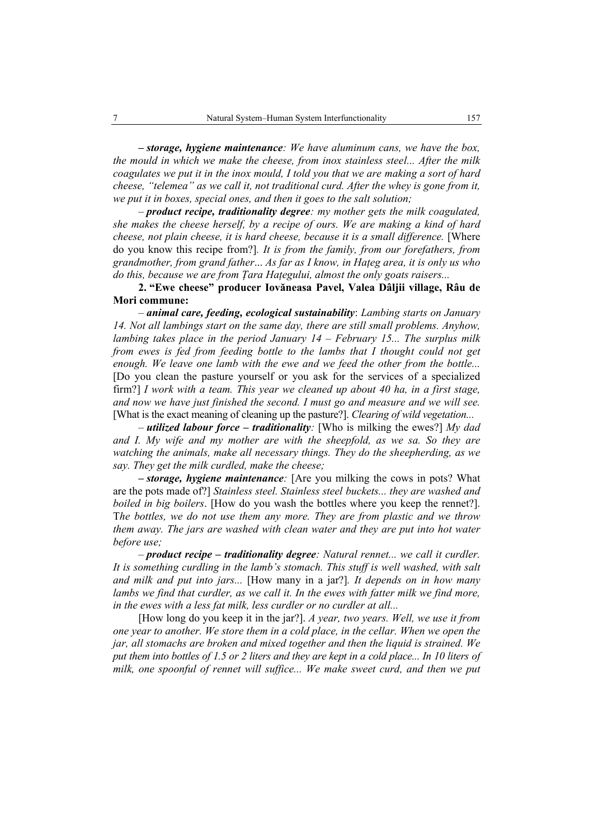*– storage, hygiene maintenance: We have aluminum cans, we have the box, the mould in which we make the cheese, from inox stainless steel... After the milk coagulates we put it in the inox mould, I told you that we are making a sort of hard cheese, "telemea" as we call it, not traditional curd. After the whey is gone from it, we put it in boxes, special ones, and then it goes to the salt solution;* 

– *product recipe, traditionality degree: my mother gets the milk coagulated, she makes the cheese herself, by a recipe of ours. We are making a kind of hard cheese, not plain cheese, it is hard cheese, because it is a small difference.* [Where do you know this recipe from?]*. It is from the family, from our forefathers, from grandmother, from grand father*... *As far as I know, in Haţeg area, it is only us who do this, because we are from Ţara Haţegului, almost the only goats raisers...*

**2. "Ewe cheese" producer Iovăneasa Pavel, Valea Dâljii village, Râu de Mori commune:**

– *animal care, feeding, ecological sustainability*: *Lambing starts on January 14. Not all lambings start on the same day, there are still small problems. Anyhow, lambing takes place in the period January 14 – February 15... The surplus milk from ewes is fed from feeding bottle to the lambs that I thought could not get enough. We leave one lamb with the ewe and we feed the other from the bottle...* [Do you clean the pasture yourself or you ask for the services of a specialized firm?] *I work with a team. This year we cleaned up about 40 ha, in a first stage, and now we have just finished the second. I must go and measure and we will see.* [What is the exact meaning of cleaning up the pasture?]. *Clearing of wild vegetation...* 

– *utilized labour force – traditionality:* [Who is milking the ewes?] *My dad and I. My wife and my mother are with the sheepfold, as we sa. So they are watching the animals, make all necessary things. They do the sheepherding, as we say. They get the milk curdled, make the cheese;* 

*– storage, hygiene maintenance:* [Are you milking the cows in pots? What are the pots made of?] *Stainless steel. Stainless steel buckets... they are washed and boiled in big boilers*. [How do you wash the bottles where you keep the rennet?]. T*he bottles, we do not use them any more. They are from plastic and we throw them away. The jars are washed with clean water and they are put into hot water before use;* 

– *product recipe – traditionality degree: Natural rennet... we call it curdler. It is something curdling in the lamb's stomach. This stuff is well washed, with salt and milk and put into jars...* [How many in a jar?]*. It depends on in how many lambs we find that curdler, as we call it. In the ewes with fatter milk we find more, in the ewes with a less fat milk, less curdler or no curdler at all...* 

[How long do you keep it in the jar?]. *A year, two years. Well, we use it from one year to another. We store them in a cold place, in the cellar. When we open the jar, all stomachs are broken and mixed together and then the liquid is strained. We put them into bottles of 1.5 or 2 liters and they are kept in a cold place... In 10 liters of milk, one spoonful of rennet will suffice... We make sweet curd, and then we put*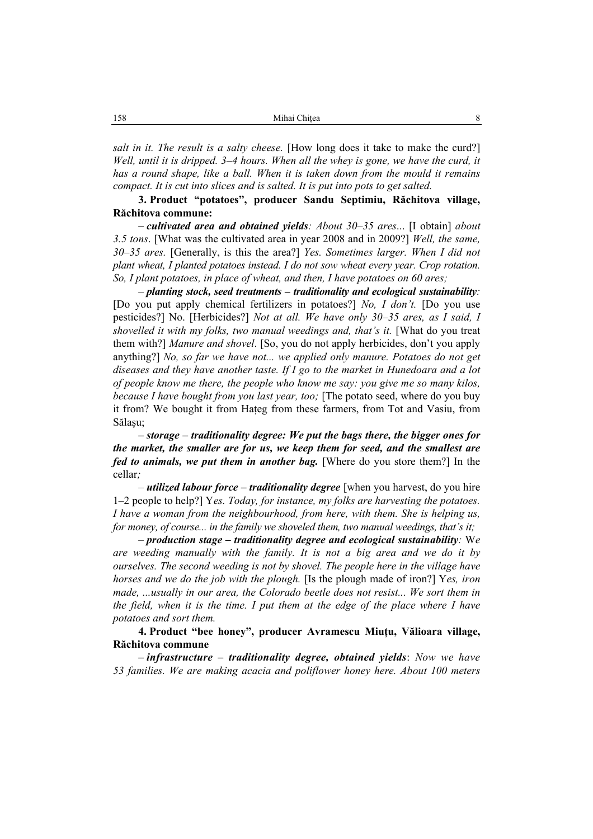*salt in it. The result is a salty cheese.* [How long does it take to make the curd?] *Well, until it is dripped. 3–4 hours. When all the whey is gone, we have the curd, it has a round shape, like a ball. When it is taken down from the mould it remains compact. It is cut into slices and is salted. It is put into pots to get salted.* 

**3. Product "potatoes", producer Sandu Septimiu, Răchitova village, Răchitova commune:** 

*– cultivated area and obtained yields: About 30–35 ares*... [I obtain] *about 3.5 tons*. [What was the cultivated area in year 2008 and in 2009?] *Well, the same, 30–35 ares.* [Generally, is this the area?] *Yes. Sometimes larger. When I did not plant wheat, I planted potatoes instead. I do not sow wheat every year. Crop rotation. So, I plant potatoes, in place of wheat, and then, I have potatoes on 60 ares;* 

– *planting stock, seed treatments – traditionality and ecological sustainability:* [Do you put apply chemical fertilizers in potatoes?] *No, I don't.* [Do you use pesticides?] No. [Herbicides?] *Not at all. We have only 30–35 ares, as I said, I shovelled it with my folks, two manual weedings and, that's it.* [What do you treat them with?] *Manure and shovel*. [So, you do not apply herbicides, don't you apply anything?] *No, so far we have not... we applied only manure. Potatoes do not get diseases and they have another taste. If I go to the market in Hunedoara and a lot of people know me there, the people who know me say: you give me so many kilos, because I have bought from you last year, too;* [The potato seed, where do you buy it from? We bought it from Haţeg from these farmers, from Tot and Vasiu, from Sălaşu;

*– storage – traditionality degree: We put the bags there, the bigger ones for the market, the smaller are for us, we keep them for seed, and the smallest are fed to animals, we put them in another bag.* [Where do you store them?] In the cellar*;* 

– *utilized labour force – traditionality degree* [when you harvest, do you hire 1–2 people to help?] Y*es. Today, for instance, my folks are harvesting the potatoes. I have a woman from the neighbourhood, from here, with them. She is helping us, for money, of course... in the family we shoveled them, two manual weedings, that's it;* 

– *production stage – traditionality degree and ecological sustainability:* W*e are weeding manually with the family. It is not a big area and we do it by ourselves. The second weeding is not by shovel. The people here in the village have horses and we do the job with the plough.* [Is the plough made of iron?] Y*es, iron made, ...usually in our area, the Colorado beetle does not resist... We sort them in the field, when it is the time. I put them at the edge of the place where I have potatoes and sort them.* 

**4. Product "bee honey", producer Avramescu Miuţu, Vălioara village, Răchitova commune**

*– infrastructure – traditionality degree, obtained yields*: *Now we have 53 families. We are making acacia and poliflower honey here. About 100 meters*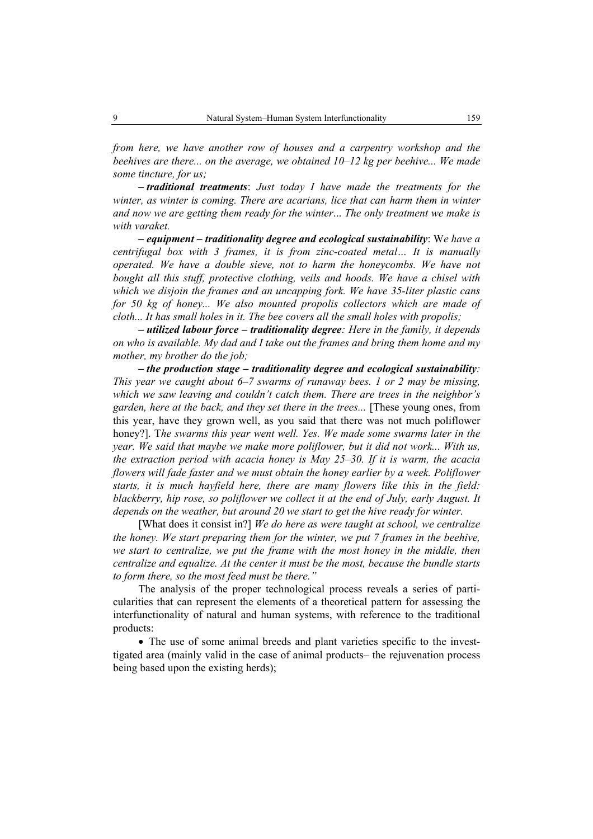*from here, we have another row of houses and a carpentry workshop and the beehives are there... on the average, we obtained 10–12 kg per beehive... We made some tincture, for us;* 

*– traditional treatments*: *Just today I have made the treatments for the winter, as winter is coming. There are acarians, lice that can harm them in winter and now we are getting them ready for the winter*... *The only treatment we make is with varaket.*

*– equipment – traditionality degree and ecological sustainability*: W*e have a centrifugal box with 3 frames, it is from zinc-coated metal… It is manually operated. We have a double sieve, not to harm the honeycombs. We have not bought all this stuff, protective clothing, veils and hoods. We have a chisel with which we disjoin the frames and an uncapping fork. We have 35-liter plastic cans for 50 kg of honey... We also mounted propolis collectors which are made of cloth... It has small holes in it. The bee covers all the small holes with propolis;*

*– utilized labour force – traditionality degree: Here in the family, it depends on who is available. My dad and I take out the frames and bring them home and my mother, my brother do the job;*

*– the production stage – traditionality degree and ecological sustainability: This year we caught about 6–7 swarms of runaway bees. 1 or 2 may be missing, which we saw leaving and couldn't catch them. There are trees in the neighbor's garden, here at the back, and they set there in the trees...* [These young ones, from this year, have they grown well, as you said that there was not much poliflower honey?]. T*he swarms this year went well. Yes. We made some swarms later in the year. We said that maybe we make more poliflower, but it did not work... With us, the extraction period with acacia honey is May 25–30. If it is warm, the acacia flowers will fade faster and we must obtain the honey earlier by a week. Poliflower starts, it is much hayfield here, there are many flowers like this in the field: blackberry, hip rose, so poliflower we collect it at the end of July, early August. It depends on the weather, but around 20 we start to get the hive ready for winter.* 

[What does it consist in?] *We do here as were taught at school, we centralize the honey. We start preparing them for the winter, we put 7 frames in the beehive, we start to centralize, we put the frame with the most honey in the middle, then centralize and equalize. At the center it must be the most, because the bundle starts to form there, so the most feed must be there."*

The analysis of the proper technological process reveals a series of particularities that can represent the elements of a theoretical pattern for assessing the interfunctionality of natural and human systems, with reference to the traditional products:

• The use of some animal breeds and plant varieties specific to the investtigated area (mainly valid in the case of animal products– the rejuvenation process being based upon the existing herds);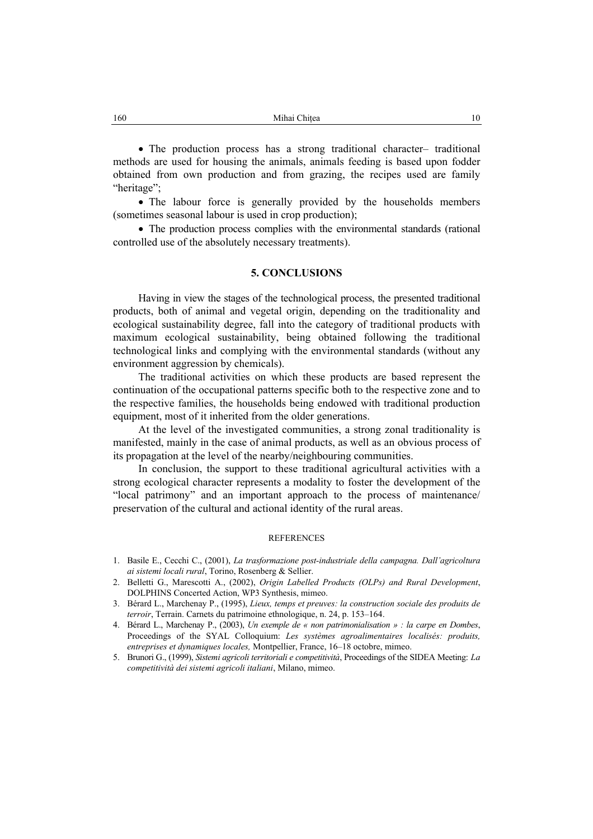• The production process has a strong traditional character– traditional methods are used for housing the animals, animals feeding is based upon fodder obtained from own production and from grazing, the recipes used are family "heritage":

• The labour force is generally provided by the households members (sometimes seasonal labour is used in crop production);

• The production process complies with the environmental standards (rational controlled use of the absolutely necessary treatments).

### **5. CONCLUSIONS**

Having in view the stages of the technological process, the presented traditional products, both of animal and vegetal origin, depending on the traditionality and ecological sustainability degree, fall into the category of traditional products with maximum ecological sustainability, being obtained following the traditional technological links and complying with the environmental standards (without any environment aggression by chemicals).

The traditional activities on which these products are based represent the continuation of the occupational patterns specific both to the respective zone and to the respective families, the households being endowed with traditional production equipment, most of it inherited from the older generations.

At the level of the investigated communities, a strong zonal traditionality is manifested, mainly in the case of animal products, as well as an obvious process of its propagation at the level of the nearby/neighbouring communities.

In conclusion, the support to these traditional agricultural activities with a strong ecological character represents a modality to foster the development of the "local patrimony" and an important approach to the process of maintenance/ preservation of the cultural and actional identity of the rural areas.

#### **REFERENCES**

- 1. Basile E., Cecchi C., (2001), *La trasformazione post-industriale della campagna. Dall'agricoltura ai sistemi locali rural*, Torino, Rosenberg & Sellier.
- 2. Belletti G., Marescotti A., (2002), *Origin Labelled Products (OLPs) and Rural Development*, DOLPHINS Concerted Action, WP3 Synthesis, mimeo.
- 3. Bérard L., Marchenay P., (1995), *Lieux, temps et preuves: la construction sociale des produits de terroir*, Terrain. Carnets du patrimoine ethnologique, n. 24, p. 153–164.
- 4. Bérard L., Marchenay P., (2003), *Un exemple de « non patrimonialisation » : la carpe en Dombes*, Proceedings of the SYAL Colloquium: *Les systèmes agroalimentaires localisés: produits, entreprises et dynamiques locales,* Montpellier, France, 16–18 octobre, mimeo.
- 5. Brunori G., (1999), *Sistemi agricoli territoriali e competitività*, Proceedings of the SIDEA Meeting: *La competitività dei sistemi agricoli italiani*, Milano, mimeo.